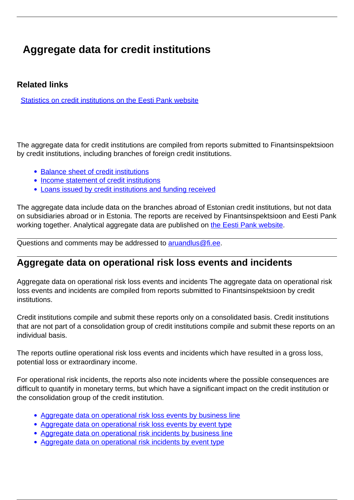## **Aggregate data for credit institutions**

## **Related links**

[Statistics on credit institutions on the Eesti Pank website](https://statistika.eestipank.ee/#/en/p/FINANTSSEKTOR/147)

The aggregate data for credit institutions are compiled from reports submitted to Finantsinspektsioon by credit institutions, including branches of foreign credit institutions.

- [Balance sheet of credit institutions](https://www.fi.ee/koond/eng/bilanss_kred.php)
- [Income statement of credit institutions](https://www.fi.ee/koond/eng/kasum_kred.php)
- [Loans issued by credit institutions and funding received](https://www.fi.ee/koond/eng/laen_kred.php)

The aggregate data include data on the branches abroad of Estonian credit institutions, but not data on subsidiaries abroad or in Estonia. The reports are received by Finantsinspektsioon and Eesti Pank working together. Analytical aggregate data are published on [the Eesti Pank website.](https://statistika.eestipank.ee/?lng=et#treeMenu/FINANTSSEKTOR/147)

Questions and comments may be addressed to [aruandlus@fi.ee.](mailto:aruandlus@fi.ee)

## **Aggregate data on operational risk loss events and incidents**

Aggregate data on operational risk loss events and incidents The aggregate data on operational risk loss events and incidents are compiled from reports submitted to Finantsinspektsioon by credit institutions.

Credit institutions compile and submit these reports only on a consolidated basis. Credit institutions that are not part of a consolidation group of credit institutions compile and submit these reports on an individual basis.

The reports outline operational risk loss events and incidents which have resulted in a gross loss, potential loss or extraordinary income.

For operational risk incidents, the reports also note incidents where the possible consequences are difficult to quantify in monetary terms, but which have a significant impact on the credit institution or the consolidation group of the credit institution.

- [Aggregate data on operational risk loss events by business line](https://www.fi.ee/koond/eng/or_ariliin.php)
- [Aggregate data on operational risk loss events by event type](http://www.fi.ee/koond/eng/or_juhtumid.php)
- [Aggregate data on operational risk incidents by business line](https://www.fi.ee/koond/eng/or_ariliin2.php)
- [Aggregate data on operational risk incidents by event type](http://www.fi.ee/koond/eng/or_juhtumid2.php)